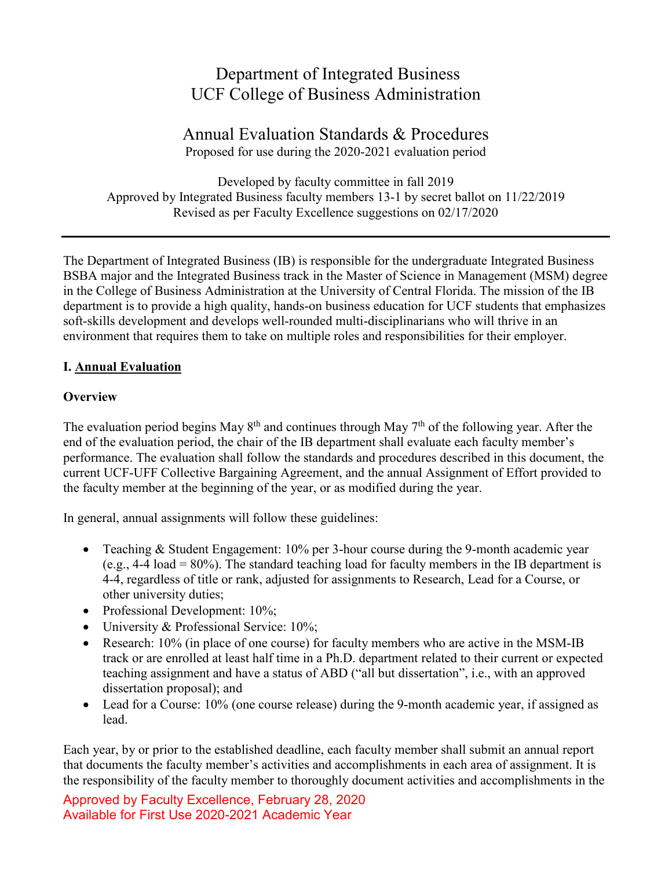# Department of Integrated Business UCF College of Business Administration

# Annual Evaluation Standards & Procedures Proposed for use during the 2020-2021 evaluation period

Developed by faculty committee in fall 2019 Approved by Integrated Business faculty members 13-1 by secret ballot on 11/22/2019 Revised as per Faculty Excellence suggestions on 02/17/2020

The Department of Integrated Business (IB) is responsible for the undergraduate Integrated Business BSBA major and the Integrated Business track in the Master of Science in Management (MSM) degree in the College of Business Administration at the University of Central Florida. The mission of the IB department is to provide a high quality, hands-on business education for UCF students that emphasizes soft-skills development and develops well-rounded multi-disciplinarians who will thrive in an environment that requires them to take on multiple roles and responsibilities for their employer.

## **I. Annual Evaluation**

## **Overview**

The evaluation period begins May  $8<sup>th</sup>$  and continues through May  $7<sup>th</sup>$  of the following year. After the end of the evaluation period, the chair of the IB department shall evaluate each faculty member's performance. The evaluation shall follow the standards and procedures described in this document, the current UCF-UFF Collective Bargaining Agreement, and the annual Assignment of Effort provided to the faculty member at the beginning of the year, or as modified during the year.

In general, annual assignments will follow these guidelines:

- Teaching & Student Engagement: 10% per 3-hour course during the 9-month academic year (e.g.,  $4-4$  load =  $80\%$ ). The standard teaching load for faculty members in the IB department is 4-4, regardless of title or rank, adjusted for assignments to Research, Lead for a Course, or other university duties;
- Professional Development: 10%;
- University & Professional Service: 10%;
- Research: 10% (in place of one course) for faculty members who are active in the MSM-IB track or are enrolled at least half time in a Ph.D. department related to their current or expected teaching assignment and have a status of ABD ("all but dissertation", i.e., with an approved dissertation proposal); and
- Lead for a Course: 10% (one course release) during the 9-month academic year, if assigned as lead.

Each year, by or prior to the established deadline, each faculty member shall submit an annual report that documents the faculty member's activities and accomplishments in each area of assignment. It is the responsibility of the faculty member to thoroughly document activities and accomplishments in the

Approved by Faculty Excellence, February 28, 2020 Available for First Use 2020-2021 Academic Year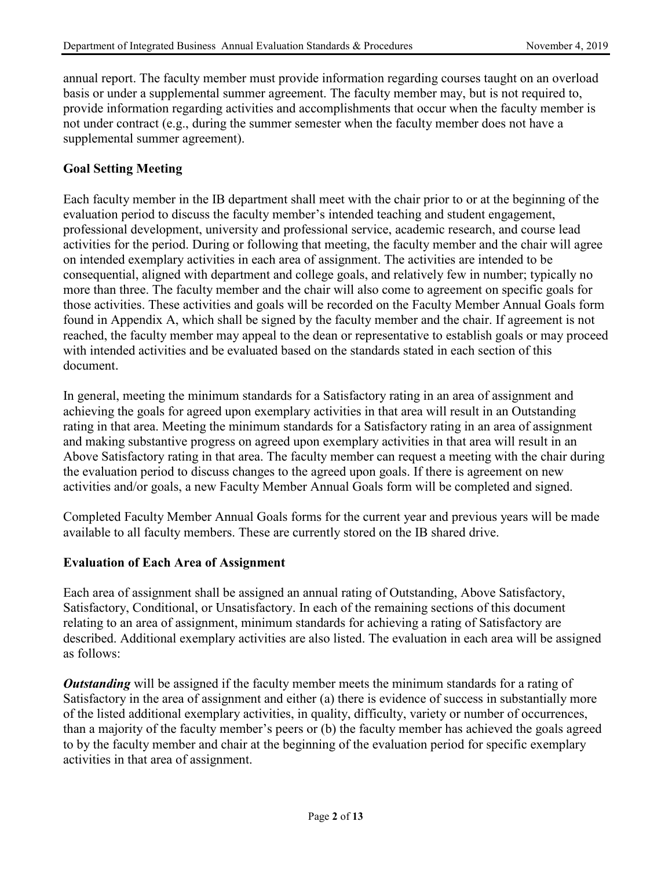annual report. The faculty member must provide information regarding courses taught on an overload basis or under a supplemental summer agreement. The faculty member may, but is not required to, provide information regarding activities and accomplishments that occur when the faculty member is not under contract (e.g., during the summer semester when the faculty member does not have a supplemental summer agreement).

## **Goal Setting Meeting**

Each faculty member in the IB department shall meet with the chair prior to or at the beginning of the evaluation period to discuss the faculty member's intended teaching and student engagement, professional development, university and professional service, academic research, and course lead activities for the period. During or following that meeting, the faculty member and the chair will agree on intended exemplary activities in each area of assignment. The activities are intended to be consequential, aligned with department and college goals, and relatively few in number; typically no more than three. The faculty member and the chair will also come to agreement on specific goals for those activities. These activities and goals will be recorded on the Faculty Member Annual Goals form found in Appendix A, which shall be signed by the faculty member and the chair. If agreement is not reached, the faculty member may appeal to the dean or representative to establish goals or may proceed with intended activities and be evaluated based on the standards stated in each section of this document.

In general, meeting the minimum standards for a Satisfactory rating in an area of assignment and achieving the goals for agreed upon exemplary activities in that area will result in an Outstanding rating in that area. Meeting the minimum standards for a Satisfactory rating in an area of assignment and making substantive progress on agreed upon exemplary activities in that area will result in an Above Satisfactory rating in that area. The faculty member can request a meeting with the chair during the evaluation period to discuss changes to the agreed upon goals. If there is agreement on new activities and/or goals, a new Faculty Member Annual Goals form will be completed and signed.

Completed Faculty Member Annual Goals forms for the current year and previous years will be made available to all faculty members. These are currently stored on the IB shared drive.

#### **Evaluation of Each Area of Assignment**

Each area of assignment shall be assigned an annual rating of Outstanding, Above Satisfactory, Satisfactory, Conditional, or Unsatisfactory. In each of the remaining sections of this document relating to an area of assignment, minimum standards for achieving a rating of Satisfactory are described. Additional exemplary activities are also listed. The evaluation in each area will be assigned as follows:

*Outstanding* will be assigned if the faculty member meets the minimum standards for a rating of Satisfactory in the area of assignment and either (a) there is evidence of success in substantially more of the listed additional exemplary activities, in quality, difficulty, variety or number of occurrences, than a majority of the faculty member's peers or (b) the faculty member has achieved the goals agreed to by the faculty member and chair at the beginning of the evaluation period for specific exemplary activities in that area of assignment.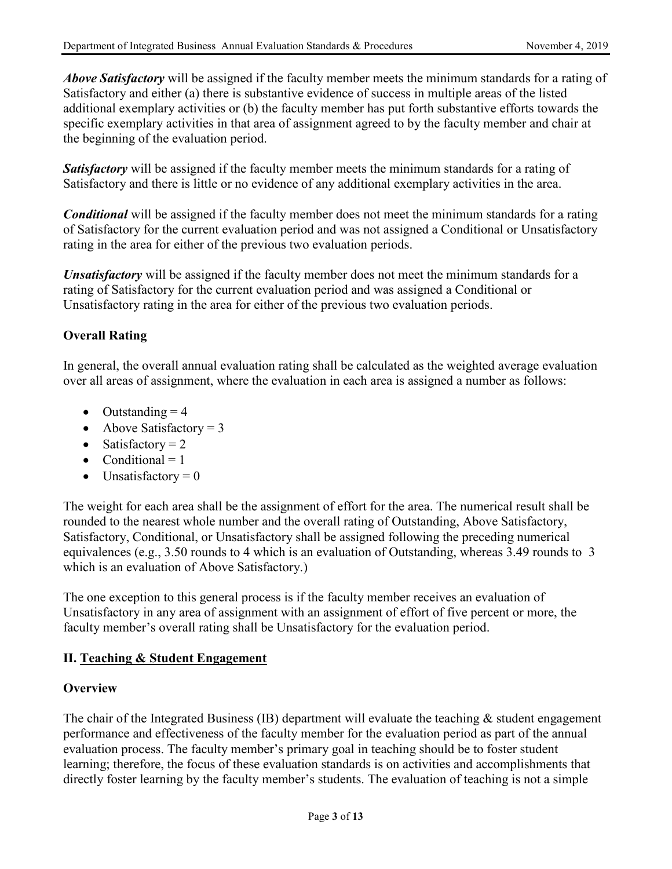*Above Satisfactory* will be assigned if the faculty member meets the minimum standards for a rating of Satisfactory and either (a) there is substantive evidence of success in multiple areas of the listed additional exemplary activities or (b) the faculty member has put forth substantive efforts towards the specific exemplary activities in that area of assignment agreed to by the faculty member and chair at the beginning of the evaluation period.

**Satisfactory** will be assigned if the faculty member meets the minimum standards for a rating of Satisfactory and there is little or no evidence of any additional exemplary activities in the area.

*Conditional* will be assigned if the faculty member does not meet the minimum standards for a rating of Satisfactory for the current evaluation period and was not assigned a Conditional or Unsatisfactory rating in the area for either of the previous two evaluation periods.

*Unsatisfactory* will be assigned if the faculty member does not meet the minimum standards for a rating of Satisfactory for the current evaluation period and was assigned a Conditional or Unsatisfactory rating in the area for either of the previous two evaluation periods.

## **Overall Rating**

In general, the overall annual evaluation rating shall be calculated as the weighted average evaluation over all areas of assignment, where the evaluation in each area is assigned a number as follows:

- Outstanding  $= 4$
- Above Satisfactory  $= 3$
- Satisfactory  $= 2$
- Conditional  $= 1$
- Unsatisfactory  $= 0$

The weight for each area shall be the assignment of effort for the area. The numerical result shall be rounded to the nearest whole number and the overall rating of Outstanding, Above Satisfactory, Satisfactory, Conditional, or Unsatisfactory shall be assigned following the preceding numerical equivalences (e.g., 3.50 rounds to 4 which is an evaluation of Outstanding, whereas 3.49 rounds to 3 which is an evaluation of Above Satisfactory.)

The one exception to this general process is if the faculty member receives an evaluation of Unsatisfactory in any area of assignment with an assignment of effort of five percent or more, the faculty member's overall rating shall be Unsatisfactory for the evaluation period.

#### **II. Teaching & Student Engagement**

## **Overview**

The chair of the Integrated Business (IB) department will evaluate the teaching  $\&$  student engagement performance and effectiveness of the faculty member for the evaluation period as part of the annual evaluation process. The faculty member's primary goal in teaching should be to foster student learning; therefore, the focus of these evaluation standards is on activities and accomplishments that directly foster learning by the faculty member's students. The evaluation of teaching is not a simple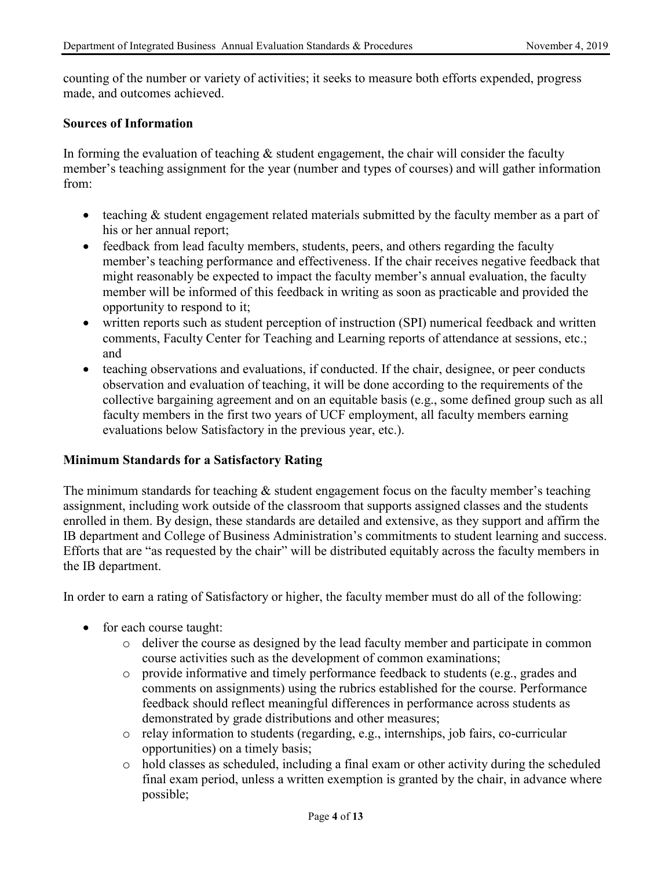counting of the number or variety of activities; it seeks to measure both efforts expended, progress made, and outcomes achieved.

#### **Sources of Information**

In forming the evaluation of teaching  $\&$  student engagement, the chair will consider the faculty member's teaching assignment for the year (number and types of courses) and will gather information from:

- teaching & student engagement related materials submitted by the faculty member as a part of his or her annual report;
- feedback from lead faculty members, students, peers, and others regarding the faculty member's teaching performance and effectiveness. If the chair receives negative feedback that might reasonably be expected to impact the faculty member's annual evaluation, the faculty member will be informed of this feedback in writing as soon as practicable and provided the opportunity to respond to it;
- written reports such as student perception of instruction (SPI) numerical feedback and written comments, Faculty Center for Teaching and Learning reports of attendance at sessions, etc.; and
- teaching observations and evaluations, if conducted. If the chair, designee, or peer conducts observation and evaluation of teaching, it will be done according to the requirements of the collective bargaining agreement and on an equitable basis (e.g., some defined group such as all faculty members in the first two years of UCF employment, all faculty members earning evaluations below Satisfactory in the previous year, etc.).

#### **Minimum Standards for a Satisfactory Rating**

The minimum standards for teaching  $\&$  student engagement focus on the faculty member's teaching assignment, including work outside of the classroom that supports assigned classes and the students enrolled in them. By design, these standards are detailed and extensive, as they support and affirm the IB department and College of Business Administration's commitments to student learning and success. Efforts that are "as requested by the chair" will be distributed equitably across the faculty members in the IB department.

In order to earn a rating of Satisfactory or higher, the faculty member must do all of the following:

- for each course taught:
	- o deliver the course as designed by the lead faculty member and participate in common course activities such as the development of common examinations;
	- o provide informative and timely performance feedback to students (e.g., grades and comments on assignments) using the rubrics established for the course. Performance feedback should reflect meaningful differences in performance across students as demonstrated by grade distributions and other measures;
	- o relay information to students (regarding, e.g., internships, job fairs, co-curricular opportunities) on a timely basis;
	- o hold classes as scheduled, including a final exam or other activity during the scheduled final exam period, unless a written exemption is granted by the chair, in advance where possible;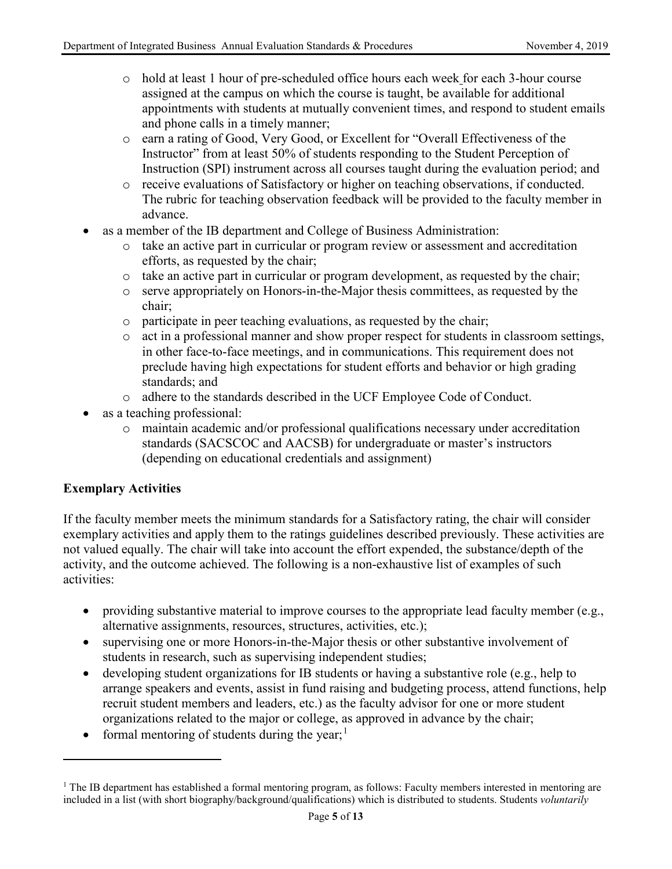- o hold at least 1 hour of pre-scheduled office hours each week for each 3-hour course assigned at the campus on which the course is taught, be available for additional appointments with students at mutually convenient times, and respond to student emails and phone calls in a timely manner;
- o earn a rating of Good, Very Good, or Excellent for "Overall Effectiveness of the Instructor" from at least 50% of students responding to the Student Perception of Instruction (SPI) instrument across all courses taught during the evaluation period; and
- o receive evaluations of Satisfactory or higher on teaching observations, if conducted. The rubric for teaching observation feedback will be provided to the faculty member in advance.
- as a member of the IB department and College of Business Administration:
	- $\circ$  take an active part in curricular or program review or assessment and accreditation efforts, as requested by the chair;
	- o take an active part in curricular or program development, as requested by the chair;
	- o serve appropriately on Honors-in-the-Major thesis committees, as requested by the chair;
	- o participate in peer teaching evaluations, as requested by the chair;
	- o act in a professional manner and show proper respect for students in classroom settings, in other face-to-face meetings, and in communications. This requirement does not preclude having high expectations for student efforts and behavior or high grading standards; and
	- o adhere to the standards described in the UCF Employee Code of Conduct.
- as a teaching professional:
	- o maintain academic and/or professional qualifications necessary under accreditation standards (SACSCOC and AACSB) for undergraduate or master's instructors (depending on educational credentials and assignment)

#### **Exemplary Activities**

 $\overline{a}$ 

If the faculty member meets the minimum standards for a Satisfactory rating, the chair will consider exemplary activities and apply them to the ratings guidelines described previously. These activities are not valued equally. The chair will take into account the effort expended, the substance/depth of the activity, and the outcome achieved. The following is a non-exhaustive list of examples of such activities:

- providing substantive material to improve courses to the appropriate lead faculty member (e.g., alternative assignments, resources, structures, activities, etc.);
- supervising one or more Honors-in-the-Major thesis or other substantive involvement of students in research, such as supervising independent studies;
- developing student organizations for IB students or having a substantive role (e.g., help to arrange speakers and events, assist in fund raising and budgeting process, attend functions, help recruit student members and leaders, etc.) as the faculty advisor for one or more student organizations related to the major or college, as approved in advance by the chair;
- formal mentoring of students during the year;<sup>[1](#page-4-0)</sup>

<span id="page-4-0"></span> $1$  The IB department has established a formal mentoring program, as follows: Faculty members interested in mentoring are included in a list (with short biography/background/qualifications) which is distributed to students. Students *voluntarily*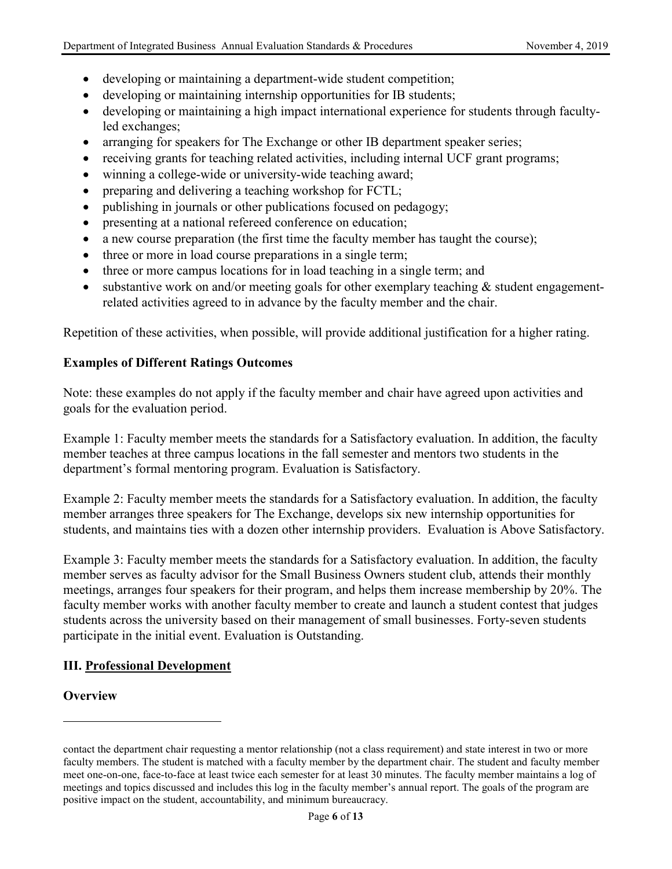- developing or maintaining a department-wide student competition;
- developing or maintaining internship opportunities for IB students;
- developing or maintaining a high impact international experience for students through facultyled exchanges;
- arranging for speakers for The Exchange or other IB department speaker series;
- receiving grants for teaching related activities, including internal UCF grant programs;
- winning a college-wide or university-wide teaching award;
- preparing and delivering a teaching workshop for FCTL;
- publishing in journals or other publications focused on pedagogy;
- presenting at a national refereed conference on education;
- a new course preparation (the first time the faculty member has taught the course);
- three or more in load course preparations in a single term;
- three or more campus locations for in load teaching in a single term; and
- substantive work on and/or meeting goals for other exemplary teaching & student engagementrelated activities agreed to in advance by the faculty member and the chair.

Repetition of these activities, when possible, will provide additional justification for a higher rating.

#### **Examples of Different Ratings Outcomes**

Note: these examples do not apply if the faculty member and chair have agreed upon activities and goals for the evaluation period.

Example 1: Faculty member meets the standards for a Satisfactory evaluation. In addition, the faculty member teaches at three campus locations in the fall semester and mentors two students in the department's formal mentoring program. Evaluation is Satisfactory.

Example 2: Faculty member meets the standards for a Satisfactory evaluation. In addition, the faculty member arranges three speakers for The Exchange, develops six new internship opportunities for students, and maintains ties with a dozen other internship providers. Evaluation is Above Satisfactory.

Example 3: Faculty member meets the standards for a Satisfactory evaluation. In addition, the faculty member serves as faculty advisor for the Small Business Owners student club, attends their monthly meetings, arranges four speakers for their program, and helps them increase membership by 20%. The faculty member works with another faculty member to create and launch a student contest that judges students across the university based on their management of small businesses. Forty-seven students participate in the initial event. Evaluation is Outstanding.

#### **III. Professional Development**

#### **Overview**

 $\overline{a}$ 

contact the department chair requesting a mentor relationship (not a class requirement) and state interest in two or more faculty members. The student is matched with a faculty member by the department chair. The student and faculty member meet one-on-one, face-to-face at least twice each semester for at least 30 minutes. The faculty member maintains a log of meetings and topics discussed and includes this log in the faculty member's annual report. The goals of the program are positive impact on the student, accountability, and minimum bureaucracy.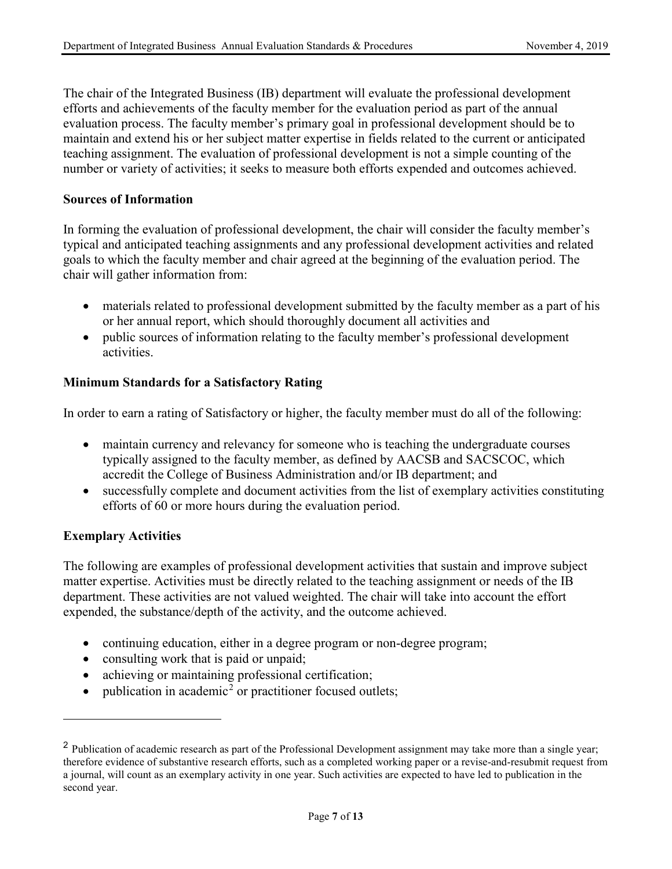The chair of the Integrated Business (IB) department will evaluate the professional development efforts and achievements of the faculty member for the evaluation period as part of the annual evaluation process. The faculty member's primary goal in professional development should be to maintain and extend his or her subject matter expertise in fields related to the current or anticipated teaching assignment. The evaluation of professional development is not a simple counting of the number or variety of activities; it seeks to measure both efforts expended and outcomes achieved.

#### **Sources of Information**

In forming the evaluation of professional development, the chair will consider the faculty member's typical and anticipated teaching assignments and any professional development activities and related goals to which the faculty member and chair agreed at the beginning of the evaluation period. The chair will gather information from:

- materials related to professional development submitted by the faculty member as a part of his or her annual report, which should thoroughly document all activities and
- public sources of information relating to the faculty member's professional development activities.

#### **Minimum Standards for a Satisfactory Rating**

In order to earn a rating of Satisfactory or higher, the faculty member must do all of the following:

- maintain currency and relevancy for someone who is teaching the undergraduate courses typically assigned to the faculty member, as defined by AACSB and SACSCOC, which accredit the College of Business Administration and/or IB department; and
- successfully complete and document activities from the list of exemplary activities constituting efforts of 60 or more hours during the evaluation period.

#### **Exemplary Activities**

 $\overline{a}$ 

The following are examples of professional development activities that sustain and improve subject matter expertise. Activities must be directly related to the teaching assignment or needs of the IB department. These activities are not valued weighted. The chair will take into account the effort expended, the substance/depth of the activity, and the outcome achieved.

- continuing education, either in a degree program or non-degree program;
- consulting work that is paid or unpaid;
- achieving or maintaining professional certification;
- publication in academic<sup>[2](#page-6-0)</sup> or practitioner focused outlets;

<span id="page-6-0"></span><sup>&</sup>lt;sup>2</sup> Publication of academic research as part of the Professional Development assignment may take more than a single year; therefore evidence of substantive research efforts, such as a completed working paper or a revise-and-resubmit request from a journal, will count as an exemplary activity in one year. Such activities are expected to have led to publication in the second year.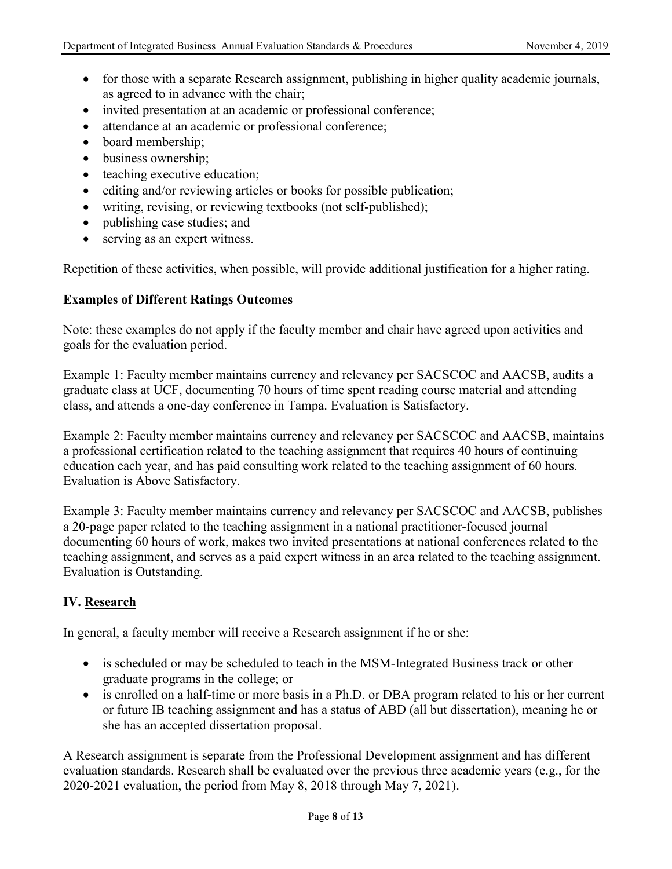- for those with a separate Research assignment, publishing in higher quality academic journals, as agreed to in advance with the chair;
- invited presentation at an academic or professional conference;
- attendance at an academic or professional conference;
- board membership;
- business ownership;
- teaching executive education;
- editing and/or reviewing articles or books for possible publication;
- writing, revising, or reviewing textbooks (not self-published);
- publishing case studies; and
- serving as an expert witness.

Repetition of these activities, when possible, will provide additional justification for a higher rating.

## **Examples of Different Ratings Outcomes**

Note: these examples do not apply if the faculty member and chair have agreed upon activities and goals for the evaluation period.

Example 1: Faculty member maintains currency and relevancy per SACSCOC and AACSB, audits a graduate class at UCF, documenting 70 hours of time spent reading course material and attending class, and attends a one-day conference in Tampa. Evaluation is Satisfactory.

Example 2: Faculty member maintains currency and relevancy per SACSCOC and AACSB, maintains a professional certification related to the teaching assignment that requires 40 hours of continuing education each year, and has paid consulting work related to the teaching assignment of 60 hours. Evaluation is Above Satisfactory.

Example 3: Faculty member maintains currency and relevancy per SACSCOC and AACSB, publishes a 20-page paper related to the teaching assignment in a national practitioner-focused journal documenting 60 hours of work, makes two invited presentations at national conferences related to the teaching assignment, and serves as a paid expert witness in an area related to the teaching assignment. Evaluation is Outstanding.

## **IV. Research**

In general, a faculty member will receive a Research assignment if he or she:

- is scheduled or may be scheduled to teach in the MSM-Integrated Business track or other graduate programs in the college; or
- is enrolled on a half-time or more basis in a Ph.D. or DBA program related to his or her current or future IB teaching assignment and has a status of ABD (all but dissertation), meaning he or she has an accepted dissertation proposal.

A Research assignment is separate from the Professional Development assignment and has different evaluation standards. Research shall be evaluated over the previous three academic years (e.g., for the 2020-2021 evaluation, the period from May 8, 2018 through May 7, 2021).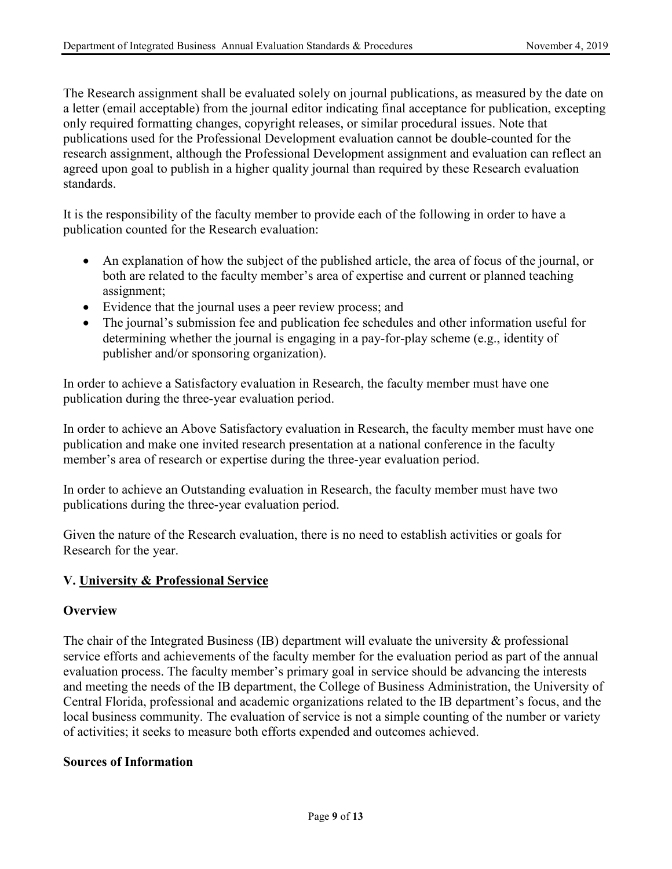The Research assignment shall be evaluated solely on journal publications, as measured by the date on a letter (email acceptable) from the journal editor indicating final acceptance for publication, excepting only required formatting changes, copyright releases, or similar procedural issues. Note that publications used for the Professional Development evaluation cannot be double-counted for the research assignment, although the Professional Development assignment and evaluation can reflect an agreed upon goal to publish in a higher quality journal than required by these Research evaluation standards.

It is the responsibility of the faculty member to provide each of the following in order to have a publication counted for the Research evaluation:

- An explanation of how the subject of the published article, the area of focus of the journal, or both are related to the faculty member's area of expertise and current or planned teaching assignment;
- Evidence that the journal uses a peer review process; and
- The journal's submission fee and publication fee schedules and other information useful for determining whether the journal is engaging in a pay-for-play scheme (e.g., identity of publisher and/or sponsoring organization).

In order to achieve a Satisfactory evaluation in Research, the faculty member must have one publication during the three-year evaluation period.

In order to achieve an Above Satisfactory evaluation in Research, the faculty member must have one publication and make one invited research presentation at a national conference in the faculty member's area of research or expertise during the three-year evaluation period.

In order to achieve an Outstanding evaluation in Research, the faculty member must have two publications during the three-year evaluation period.

Given the nature of the Research evaluation, there is no need to establish activities or goals for Research for the year.

#### **V. University & Professional Service**

#### **Overview**

The chair of the Integrated Business (IB) department will evaluate the university & professional service efforts and achievements of the faculty member for the evaluation period as part of the annual evaluation process. The faculty member's primary goal in service should be advancing the interests and meeting the needs of the IB department, the College of Business Administration, the University of Central Florida, professional and academic organizations related to the IB department's focus, and the local business community. The evaluation of service is not a simple counting of the number or variety of activities; it seeks to measure both efforts expended and outcomes achieved.

#### **Sources of Information**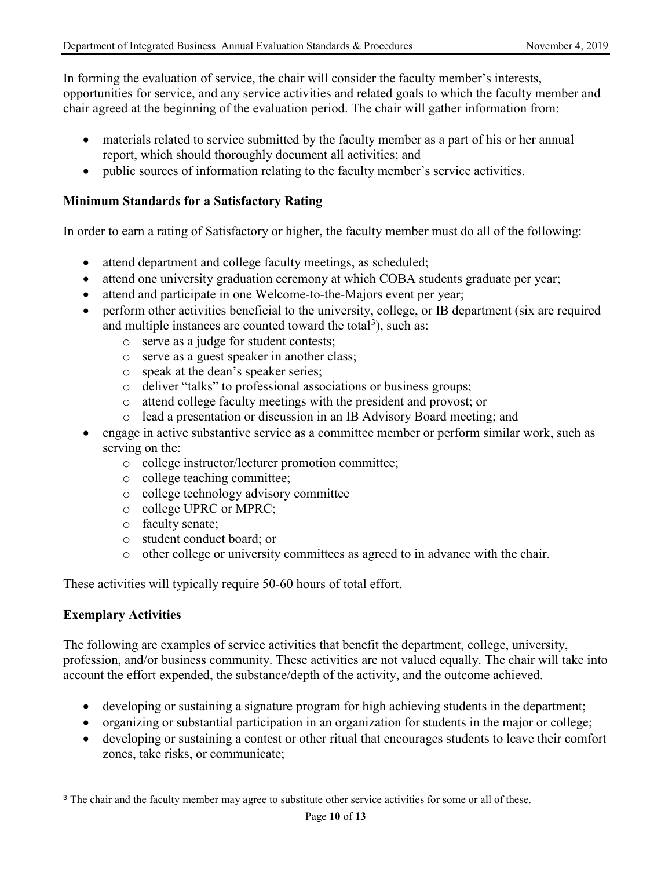In forming the evaluation of service, the chair will consider the faculty member's interests, opportunities for service, and any service activities and related goals to which the faculty member and chair agreed at the beginning of the evaluation period. The chair will gather information from:

- materials related to service submitted by the faculty member as a part of his or her annual report, which should thoroughly document all activities; and
- public sources of information relating to the faculty member's service activities.

#### **Minimum Standards for a Satisfactory Rating**

In order to earn a rating of Satisfactory or higher, the faculty member must do all of the following:

- attend department and college faculty meetings, as scheduled;
- attend one university graduation ceremony at which COBA students graduate per year;
- attend and participate in one Welcome-to-the-Majors event per year;
- perform other activities beneficial to the university, college, or IB department (six are required and multiple instances are counted toward the total<sup>[3](#page-9-0)</sup>), such as:
	- o serve as a judge for student contests;
	- o serve as a guest speaker in another class;
	- o speak at the dean's speaker series;
	- o deliver "talks" to professional associations or business groups;
	- o attend college faculty meetings with the president and provost; or
	- o lead a presentation or discussion in an IB Advisory Board meeting; and
- engage in active substantive service as a committee member or perform similar work, such as serving on the:
	- o college instructor/lecturer promotion committee;
	- o college teaching committee;
	- o college technology advisory committee
	- o college UPRC or MPRC;
	- o faculty senate;
	- o student conduct board; or
	- o other college or university committees as agreed to in advance with the chair.

These activities will typically require 50-60 hours of total effort.

## **Exemplary Activities**

 $\overline{a}$ 

The following are examples of service activities that benefit the department, college, university, profession, and/or business community. These activities are not valued equally. The chair will take into account the effort expended, the substance/depth of the activity, and the outcome achieved.

- developing or sustaining a signature program for high achieving students in the department;
- organizing or substantial participation in an organization for students in the major or college;
- developing or sustaining a contest or other ritual that encourages students to leave their comfort zones, take risks, or communicate;

<span id="page-9-0"></span><sup>&</sup>lt;sup>3</sup> The chair and the faculty member may agree to substitute other service activities for some or all of these.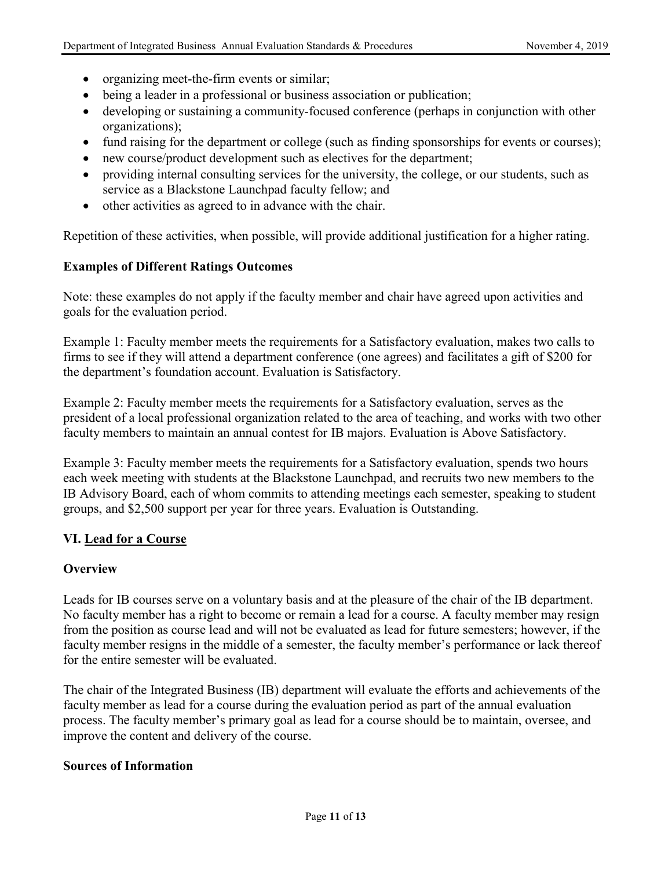- organizing meet-the-firm events or similar;
- being a leader in a professional or business association or publication;
- developing or sustaining a community-focused conference (perhaps in conjunction with other organizations);
- fund raising for the department or college (such as finding sponsorships for events or courses);
- new course/product development such as electives for the department;
- providing internal consulting services for the university, the college, or our students, such as service as a Blackstone Launchpad faculty fellow; and
- other activities as agreed to in advance with the chair.

Repetition of these activities, when possible, will provide additional justification for a higher rating.

## **Examples of Different Ratings Outcomes**

Note: these examples do not apply if the faculty member and chair have agreed upon activities and goals for the evaluation period.

Example 1: Faculty member meets the requirements for a Satisfactory evaluation, makes two calls to firms to see if they will attend a department conference (one agrees) and facilitates a gift of \$200 for the department's foundation account. Evaluation is Satisfactory.

Example 2: Faculty member meets the requirements for a Satisfactory evaluation, serves as the president of a local professional organization related to the area of teaching, and works with two other faculty members to maintain an annual contest for IB majors. Evaluation is Above Satisfactory.

Example 3: Faculty member meets the requirements for a Satisfactory evaluation, spends two hours each week meeting with students at the Blackstone Launchpad, and recruits two new members to the IB Advisory Board, each of whom commits to attending meetings each semester, speaking to student groups, and \$2,500 support per year for three years. Evaluation is Outstanding.

#### **VI. Lead for a Course**

#### **Overview**

Leads for IB courses serve on a voluntary basis and at the pleasure of the chair of the IB department. No faculty member has a right to become or remain a lead for a course. A faculty member may resign from the position as course lead and will not be evaluated as lead for future semesters; however, if the faculty member resigns in the middle of a semester, the faculty member's performance or lack thereof for the entire semester will be evaluated.

The chair of the Integrated Business (IB) department will evaluate the efforts and achievements of the faculty member as lead for a course during the evaluation period as part of the annual evaluation process. The faculty member's primary goal as lead for a course should be to maintain, oversee, and improve the content and delivery of the course.

#### **Sources of Information**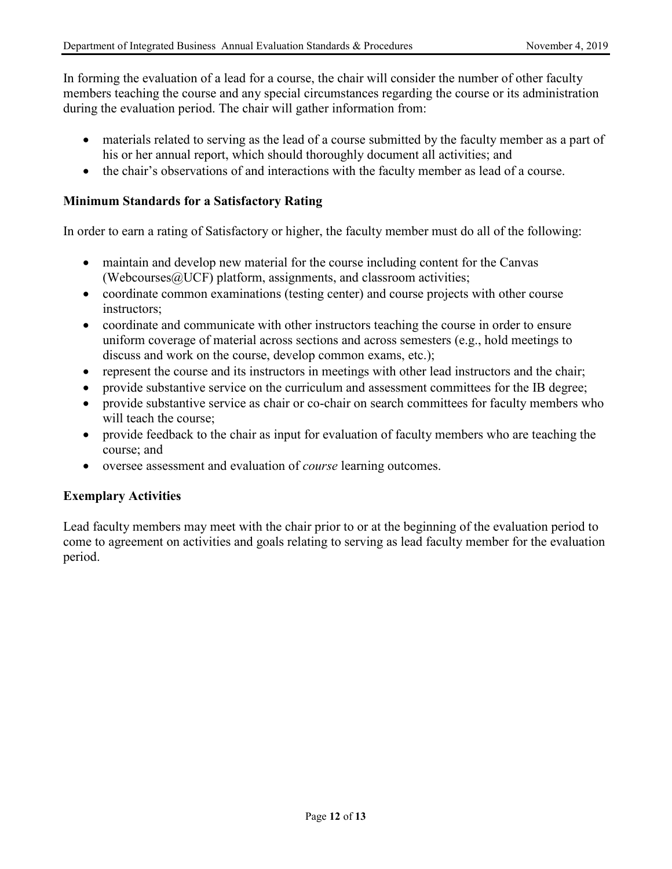In forming the evaluation of a lead for a course, the chair will consider the number of other faculty members teaching the course and any special circumstances regarding the course or its administration during the evaluation period. The chair will gather information from:

- materials related to serving as the lead of a course submitted by the faculty member as a part of his or her annual report, which should thoroughly document all activities; and
- the chair's observations of and interactions with the faculty member as lead of a course.

#### **Minimum Standards for a Satisfactory Rating**

In order to earn a rating of Satisfactory or higher, the faculty member must do all of the following:

- maintain and develop new material for the course including content for the Canvas (Webcourses $@$ UCF) platform, assignments, and classroom activities;
- coordinate common examinations (testing center) and course projects with other course instructors;
- coordinate and communicate with other instructors teaching the course in order to ensure uniform coverage of material across sections and across semesters (e.g., hold meetings to discuss and work on the course, develop common exams, etc.);
- represent the course and its instructors in meetings with other lead instructors and the chair;
- provide substantive service on the curriculum and assessment committees for the IB degree;
- provide substantive service as chair or co-chair on search committees for faculty members who will teach the course;
- provide feedback to the chair as input for evaluation of faculty members who are teaching the course; and
- oversee assessment and evaluation of *course* learning outcomes.

## **Exemplary Activities**

Lead faculty members may meet with the chair prior to or at the beginning of the evaluation period to come to agreement on activities and goals relating to serving as lead faculty member for the evaluation period.